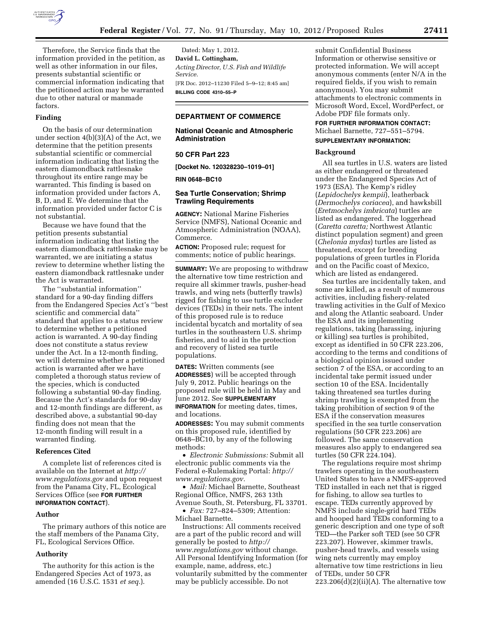

Therefore, the Service finds that the information provided in the petition, as well as other information in our files, presents substantial scientific or commercial information indicating that the petitioned action may be warranted due to other natural or manmade factors.

#### **Finding**

On the basis of our determination under section 4(b)(3)(A) of the Act, we determine that the petition presents substantial scientific or commercial information indicating that listing the eastern diamondback rattlesnake throughout its entire range may be warranted. This finding is based on information provided under factors A, B, D, and E. We determine that the information provided under factor C is not substantial.

Because we have found that the petition presents substantial information indicating that listing the eastern diamondback rattlesnake may be warranted, we are initiating a status review to determine whether listing the eastern diamondback rattlesnake under the Act is warranted.

The ''substantial information'' standard for a 90-day finding differs from the Endangered Species Act's ''best scientific and commercial data'' standard that applies to a status review to determine whether a petitioned action is warranted. A 90-day finding does not constitute a status review under the Act. In a 12-month finding, we will determine whether a petitioned action is warranted after we have completed a thorough status review of the species, which is conducted following a substantial 90-day finding. Because the Act's standards for 90-day and 12-month findings are different, as described above, a substantial 90-day finding does not mean that the 12-month finding will result in a warranted finding.

# **References Cited**

A complete list of references cited is available on the Internet at *[http://](http://www.regulations.gov) [www.regulations.gov](http://www.regulations.gov)* and upon request from the Panama City, FL, Ecological Services Office (see **FOR FURTHER INFORMATION CONTACT**).

#### **Author**

The primary authors of this notice are the staff members of the Panama City, FL, Ecological Services Office.

#### **Authority**

The authority for this action is the Endangered Species Act of 1973, as amended (16 U.S.C. 1531 *et seq.*).

Dated: May 1, 2012. **David L. Cottingham,**  *Acting Director, U.S. Fish and Wildlife Service.*  [FR Doc. 2012–11230 Filed 5–9–12; 8:45 am] **BILLING CODE 4310–55–P** 

## **DEPARTMENT OF COMMERCE**

## **National Oceanic and Atmospheric Administration**

### **50 CFR Part 223**

**[Docket No. 120328230–1019–01]** 

**RIN 0648–BC10** 

### **Sea Turtle Conservation; Shrimp Trawling Requirements**

**AGENCY:** National Marine Fisheries Service (NMFS), National Oceanic and Atmospheric Administration (NOAA), Commerce.

**ACTION:** Proposed rule; request for comments; notice of public hearings.

**SUMMARY:** We are proposing to withdraw the alternative tow time restriction and require all skimmer trawls, pusher-head trawls, and wing nets (butterfly trawls) rigged for fishing to use turtle excluder devices (TEDs) in their nets. The intent of this proposed rule is to reduce incidental bycatch and mortality of sea turtles in the southeastern U.S. shrimp fisheries, and to aid in the protection and recovery of listed sea turtle populations.

**DATES:** Written comments (see **ADDRESSES**) will be accepted through July 9, 2012. Public hearings on the proposed rule will be held in May and June 2012. See **SUPPLEMENTARY INFORMATION** for meeting dates, times, and locations.

**ADDRESSES:** You may submit comments on this proposed rule, identified by 0648–BC10, by any of the following methods:

• *Electronic Submissions:* Submit all electronic public comments via the Federal e-Rulemaking Portal: *[http://](http://www.regulations.gov)  [www.regulations.gov.](http://www.regulations.gov)* 

• *Mail:* Michael Barnette, Southeast Regional Office, NMFS, 263 13th Avenue South, St. Petersburg, FL 33701. • *Fax:* 727–824–5309; Attention:

Michael Barnette. Instructions: All comments received are a part of the public record and will

generally be posted to *[http://](http://www.regulations.gov) [www.regulations.gov](http://www.regulations.gov)* without change. All Personal Identifying Information (for example, name, address, etc.) voluntarily submitted by the commenter may be publicly accessible. Do not

submit Confidential Business Information or otherwise sensitive or protected information. We will accept anonymous comments (enter N/A in the required fields, if you wish to remain anonymous). You may submit attachments to electronic comments in Microsoft Word, Excel, WordPerfect, or Adobe PDF file formats only.

# **FOR FURTHER INFORMATION CONTACT:**  Michael Barnette, 727–551–5794.

# **SUPPLEMENTARY INFORMATION:**

# **Background**

All sea turtles in U.S. waters are listed as either endangered or threatened under the Endangered Species Act of 1973 (ESA). The Kemp's ridley (*Lepidochelys kempii*), leatherback (*Dermochelys coriacea*), and hawksbill (*Eretmochelys imbricata*) turtles are listed as endangered. The loggerhead (*Caretta caretta;* Northwest Atlantic distinct population segment) and green (*Chelonia mydas*) turtles are listed as threatened, except for breeding populations of green turtles in Florida and on the Pacific coast of Mexico, which are listed as endangered.

Sea turtles are incidentally taken, and some are killed, as a result of numerous activities, including fishery-related trawling activities in the Gulf of Mexico and along the Atlantic seaboard. Under the ESA and its implementing regulations, taking (harassing, injuring or killing) sea turtles is prohibited, except as identified in 50 CFR 223.206, according to the terms and conditions of a biological opinion issued under section 7 of the ESA, or according to an incidental take permit issued under section 10 of the ESA. Incidentally taking threatened sea turtles during shrimp trawling is exempted from the taking prohibition of section 9 of the ESA if the conservation measures specified in the sea turtle conservation regulations (50 CFR 223.206) are followed. The same conservation measures also apply to endangered sea turtles (50 CFR 224.104).

The regulations require most shrimp trawlers operating in the southeastern United States to have a NMFS-approved TED installed in each net that is rigged for fishing, to allow sea turtles to escape. TEDs currently approved by NMFS include single-grid hard TEDs and hooped hard TEDs conforming to a generic description and one type of soft TED—the Parker soft TED (see 50 CFR 223.207). However, skimmer trawls, pusher-head trawls, and vessels using wing nets currently may employ alternative tow time restrictions in lieu of TEDs, under 50 CFR  $223.206(d)(2)(ii)(A)$ . The alternative tow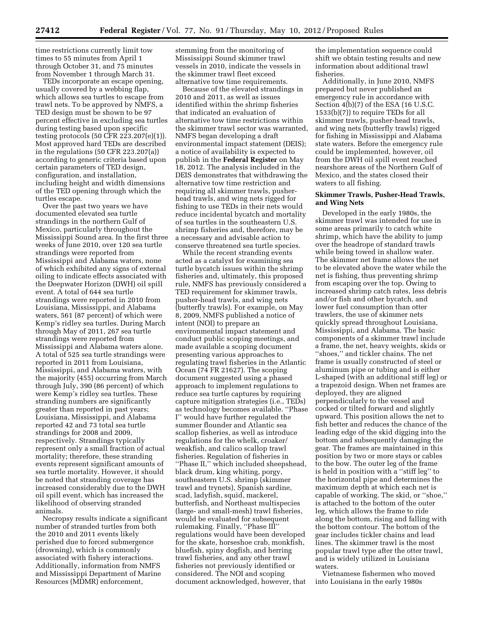time restrictions currently limit tow times to 55 minutes from April 1 through October 31, and 75 minutes from November 1 through March 31.

TEDs incorporate an escape opening, usually covered by a webbing flap, which allows sea turtles to escape from trawl nets. To be approved by NMFS, a TED design must be shown to be 97 percent effective in excluding sea turtles during testing based upon specific testing protocols (50 CFR 223.207(e)(1)). Most approved hard TEDs are described in the regulations (50 CFR 223.207(a)) according to generic criteria based upon certain parameters of TED design, configuration, and installation, including height and width dimensions of the TED opening through which the turtles escape.

Over the past two years we have documented elevated sea turtle strandings in the northern Gulf of Mexico, particularly throughout the Mississippi Sound area. In the first three weeks of June 2010, over 120 sea turtle strandings were reported from Mississippi and Alabama waters, none of which exhibited any signs of external oiling to indicate effects associated with the Deepwater Horizon (DWH) oil spill event. A total of 644 sea turtle strandings were reported in 2010 from Louisiana, Mississippi, and Alabama waters, 561 (87 percent) of which were Kemp's ridley sea turtles. During March through May of 2011, 267 sea turtle strandings were reported from Mississippi and Alabama waters alone. A total of 525 sea turtle strandings were reported in 2011 from Louisiana, Mississippi, and Alabama waters, with the majority (455) occurring from March through July, 390 (86 percent) of which were Kemp's ridley sea turtles. These stranding numbers are significantly greater than reported in past years; Louisiana, Mississippi, and Alabama reported 42 and 73 total sea turtle strandings for 2008 and 2009, respectively. Strandings typically represent only a small fraction of actual mortality; therefore, these stranding events represent significant amounts of sea turtle mortality. However, it should be noted that stranding coverage has increased considerably due to the DWH oil spill event, which has increased the likelihood of observing stranded animals.

Necropsy results indicate a significant number of stranded turtles from both the 2010 and 2011 events likely perished due to forced submergence (drowning), which is commonly associated with fishery interactions. Additionally, information from NMFS and Mississippi Department of Marine Resources (MDMR) enforcement,

stemming from the monitoring of Mississippi Sound skimmer trawl vessels in 2010, indicate the vessels in the skimmer trawl fleet exceed alternative tow time requirements.

Because of the elevated strandings in 2010 and 2011, as well as issues identified within the shrimp fisheries that indicated an evaluation of alternative tow time restrictions within the skimmer trawl sector was warranted, NMFS began developing a draft environmental impact statement (DEIS); a notice of availability is expected to publish in the **Federal Register** on May 18, 2012. The analysis included in the DEIS demonstrates that withdrawing the alternative tow time restriction and requiring all skimmer trawls, pusherhead trawls, and wing nets rigged for fishing to use TEDs in their nets would reduce incidental bycatch and mortality of sea turtles in the southeastern U.S. shrimp fisheries and, therefore, may be a necessary and advisable action to conserve threatened sea turtle species.

While the recent stranding events acted as a catalyst for examining sea turtle bycatch issues within the shrimp fisheries and, ultimately, this proposed rule, NMFS has previously considered a TED requirement for skimmer trawls, pusher-head trawls, and wing nets (butterfly trawls). For example, on May 8, 2009, NMFS published a notice of intent (NOI) to prepare an environmental impact statement and conduct public scoping meetings, and made available a scoping document presenting various approaches to regulating trawl fisheries in the Atlantic Ocean (74 FR 21627). The scoping document suggested using a phased approach to implement regulations to reduce sea turtle captures by requiring capture mitigation strategies (i.e., TEDs) as technology becomes available. ''Phase I'' would have further regulated the summer flounder and Atlantic sea scallop fisheries, as well as introduce regulations for the whelk, croaker/ weakfish, and calico scallop trawl fisheries. Regulation of fisheries in ''Phase II,'' which included sheepshead, black drum, king whiting, porgy, southeastern U.S. shrimp (skimmer trawl and trynets), Spanish sardine, scad, ladyfish, squid, mackerel, butterfish, and Northeast multispecies (large- and small-mesh) trawl fisheries, would be evaluated for subsequent rulemaking. Finally, ''Phase III'' regulations would have been developed for the skate, horseshoe crab, monkfish, bluefish, spiny dogfish, and herring trawl fisheries, and any other trawl fisheries not previously identified or considered. The NOI and scoping document acknowledged, however, that

the implementation sequence could shift we obtain testing results and new information about additional trawl fisheries.

Additionally, in June 2010, NMFS prepared but never published an emergency rule in accordance with Section 4(b)(7) of the ESA (16 U.S.C. 1533(b)(7)) to require TEDs for all skimmer trawls, pusher-head trawls, and wing nets (butterfly trawls) rigged for fishing in Mississippi and Alabama state waters. Before the emergency rule could be implemented, however, oil from the DWH oil spill event reached nearshore areas of the Northern Gulf of Mexico, and the states closed their waters to all fishing.

# **Skimmer Trawls, Pusher-Head Trawls, and Wing Nets**

Developed in the early 1980s, the skimmer trawl was intended for use in some areas primarily to catch white shrimp, which have the ability to jump over the headrope of standard trawls while being towed in shallow water. The skimmer net frame allows the net to be elevated above the water while the net is fishing, thus preventing shrimp from escaping over the top. Owing to increased shrimp catch rates, less debris and/or fish and other bycatch, and lower fuel consumption than otter trawlers, the use of skimmer nets quickly spread throughout Louisiana, Mississippi, and Alabama. The basic components of a skimmer trawl include a frame, the net, heavy weights, skids or ''shoes,'' and tickler chains. The net frame is usually constructed of steel or aluminum pipe or tubing and is either L-shaped (with an additional stiff leg) or a trapezoid design. When net frames are deployed, they are aligned perpendicularly to the vessel and cocked or tilted forward and slightly upward. This position allows the net to fish better and reduces the chance of the leading edge of the skid digging into the bottom and subsequently damaging the gear. The frames are maintained in this position by two or more stays or cables to the bow. The outer leg of the frame is held in position with a ''stiff leg'' to the horizontal pipe and determines the maximum depth at which each net is capable of working. The skid, or ''shoe,'' is attached to the bottom of the outer leg, which allows the frame to ride along the bottom, rising and falling with the bottom contour. The bottom of the gear includes tickler chains and lead lines. The skimmer trawl is the most popular trawl type after the otter trawl, and is widely utilized in Louisiana waters.

Vietnamese fishermen who moved into Louisiana in the early 1980s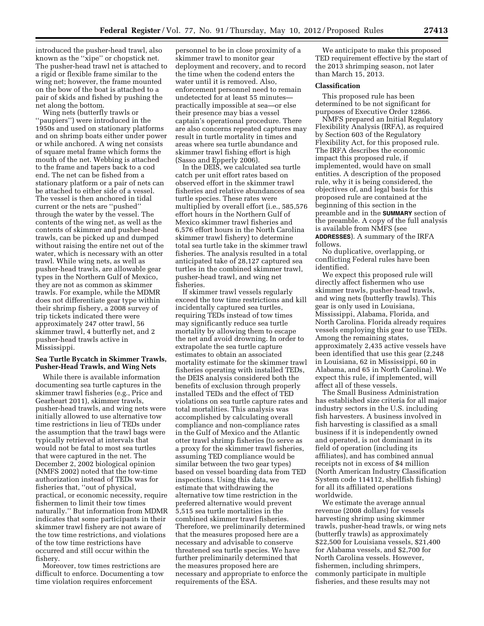introduced the pusher-head trawl, also known as the ''xipe'' or chopstick net. The pusher-head trawl net is attached to a rigid or flexible frame similar to the wing net; however, the frame mounted on the bow of the boat is attached to a pair of skids and fished by pushing the net along the bottom.

Wing nets (butterfly trawls or ''paupiers'') were introduced in the 1950s and used on stationary platforms and on shrimp boats either under power or while anchored. A wing net consists of square metal frame which forms the mouth of the net. Webbing is attached to the frame and tapers back to a cod end. The net can be fished from a stationary platform or a pair of nets can be attached to either side of a vessel. The vessel is then anchored in tidal current or the nets are ''pushed'' through the water by the vessel. The contents of the wing net, as well as the contents of skimmer and pusher-head trawls, can be picked up and dumped without raising the entire net out of the water, which is necessary with an otter trawl. While wing nets, as well as pusher-head trawls, are allowable gear types in the Northern Gulf of Mexico, they are not as common as skimmer trawls. For example, while the MDMR does not differentiate gear type within their shrimp fishery, a 2008 survey of trip tickets indicated there were approximately 247 otter trawl, 56 skimmer trawl, 4 butterfly net, and 2 pusher-head trawls active in Mississippi.

### **Sea Turtle Bycatch in Skimmer Trawls, Pusher-Head Trawls, and Wing Nets**

While there is available information documenting sea turtle captures in the skimmer trawl fisheries (e.g., Price and Gearheart 2011), skimmer trawls, pusher-head trawls, and wing nets were initially allowed to use alternative tow time restrictions in lieu of TEDs under the assumption that the trawl bags were typically retrieved at intervals that would not be fatal to most sea turtles that were captured in the net. The December 2, 2002 biological opinion (NMFS 2002) noted that the tow-time authorization instead of TEDs was for fisheries that, ''out of physical, practical, or economic necessity, require fishermen to limit their tow times naturally.'' But information from MDMR indicates that some participants in their skimmer trawl fishery are not aware of the tow time restrictions, and violations of the tow time restrictions have occurred and still occur within the fishery.

Moreover, tow times restrictions are difficult to enforce. Documenting a tow time violation requires enforcement

personnel to be in close proximity of a skimmer trawl to monitor gear deployment and recovery, and to record the time when the codend enters the water until it is removed. Also, enforcement personnel need to remain undetected for at least 55 minutes practically impossible at sea—or else their presence may bias a vessel captain's operational procedure. There are also concerns repeated captures may result in turtle mortality in times and areas where sea turtle abundance and skimmer trawl fishing effort is high (Sasso and Epperly 2006).

In the DEIS, we calculated sea turtle catch per unit effort rates based on observed effort in the skimmer trawl fisheries and relative abundances of sea turtle species. These rates were multiplied by overall effort (i.e., 585,576 effort hours in the Northern Gulf of Mexico skimmer trawl fisheries and 6,576 effort hours in the North Carolina skimmer trawl fishery) to determine total sea turtle take in the skimmer trawl fisheries. The analysis resulted in a total anticipated take of 28,127 captured sea turtles in the combined skimmer trawl, pusher-head trawl, and wing net fisheries.

If skimmer trawl vessels regularly exceed the tow time restrictions and kill incidentally captured sea turtles, requiring TEDs instead of tow times may significantly reduce sea turtle mortality by allowing them to escape the net and avoid drowning. In order to extrapolate the sea turtle capture estimates to obtain an associated mortality estimate for the skimmer trawl fisheries operating with installed TEDs, the DEIS analysis considered both the benefits of exclusion through properly installed TEDs and the effect of TED violations on sea turtle capture rates and total mortalities. This analysis was accomplished by calculating overall compliance and non-compliance rates in the Gulf of Mexico and the Atlantic otter trawl shrimp fisheries (to serve as a proxy for the skimmer trawl fisheries, assuming TED compliance would be similar between the two gear types) based on vessel boarding data from TED inspections. Using this data, we estimate that withdrawing the alternative tow time restriction in the preferred alternative would prevent 5,515 sea turtle mortalities in the combined skimmer trawl fisheries. Therefore, we preliminarily determined that the measures proposed here are a necessary and advisable to conserve threatened sea turtle species. We have further preliminarily determined that the measures proposed here are necessary and appropriate to enforce the requirements of the ESA.

We anticipate to make this proposed TED requirement effective by the start of the 2013 shrimping season, not later than March 15, 2013.

### **Classification**

This proposed rule has been determined to be not significant for purposes of Executive Order 12866.

NMFS prepared an Initial Regulatory Flexibility Analysis (IRFA), as required by Section 603 of the Regulatory Flexibility Act, for this proposed rule. The IRFA describes the economic impact this proposed rule, if implemented, would have on small entities. A description of the proposed rule, why it is being considered, the objectives of, and legal basis for this proposed rule are contained at the beginning of this section in the preamble and in the **SUMMARY** section of the preamble. A copy of the full analysis is available from NMFS (see **ADDRESSES**). A summary of the IRFA follows.

No duplicative, overlapping, or conflicting Federal rules have been identified.

We expect this proposed rule will directly affect fishermen who use skimmer trawls, pusher-head trawls, and wing nets (butterfly trawls). This gear is only used in Louisiana, Mississippi, Alabama, Florida, and North Carolina. Florida already requires vessels employing this gear to use TEDs. Among the remaining states, approximately 2,435 active vessels have been identified that use this gear (2,248 in Louisiana, 62 in Mississippi, 60 in Alabama, and 65 in North Carolina). We expect this rule, if implemented, will affect all of these vessels.

The Small Business Administration has established size criteria for all major industry sectors in the U.S. including fish harvesters. A business involved in fish harvesting is classified as a small business if it is independently owned and operated, is not dominant in its field of operation (including its affiliates), and has combined annual receipts not in excess of \$4 million (North American Industry Classification System code 114112, shellfish fishing) for all its affiliated operations worldwide.

We estimate the average annual revenue (2008 dollars) for vessels harvesting shrimp using skimmer trawls, pusher-head trawls, or wing nets (butterfly trawls) as approximately \$22,500 for Louisiana vessels, \$21,400 for Alabama vessels, and \$2,700 for North Carolina vessels. However, fishermen, including shrimpers, commonly participate in multiple fisheries, and these results may not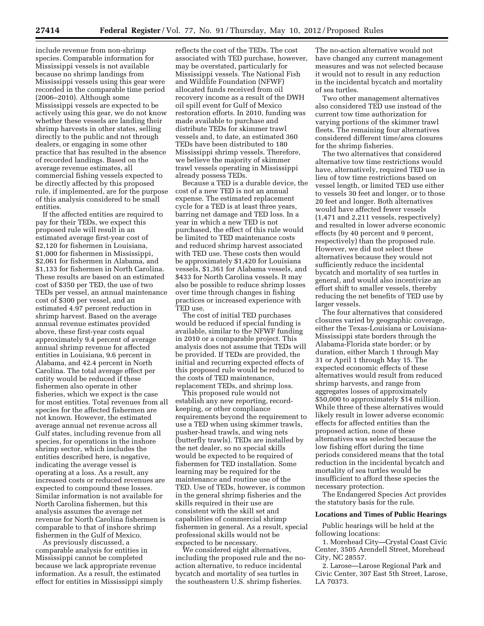include revenue from non-shrimp species. Comparable information for Mississippi vessels is not available because no shrimp landings from Mississippi vessels using this gear were recorded in the comparable time period (2006–2010). Although some Mississippi vessels are expected to be actively using this gear, we do not know whether these vessels are landing their shrimp harvests in other states, selling directly to the public and not through dealers, or engaging in some other practice that has resulted in the absence of recorded landings. Based on the average revenue estimates, all commercial fishing vessels expected to be directly affected by this proposed rule, if implemented, are for the purpose of this analysis considered to be small entities.

If the affected entities are required to pay for their TEDs, we expect this proposed rule will result in an estimated average first-year cost of \$2,120 for fishermen in Louisiana, \$1,000 for fishermen in Mississippi, \$2,061 for fishermen in Alabama, and \$1,133 for fishermen in North Carolina. These results are based on an estimated cost of \$350 per TED, the use of two TEDs per vessel, an annual maintenance cost of \$300 per vessel, and an estimated 4.97 percent reduction in shrimp harvest. Based on the average annual revenue estimates provided above, these first-year costs equal approximately 9.4 percent of average annual shrimp revenue for affected entities in Louisiana, 9.6 percent in Alabama, and 42.4 percent in North Carolina. The total average effect per entity would be reduced if these fishermen also operate in other fisheries, which we expect is the case for most entities. Total revenues from all species for the affected fishermen are not known. However, the estimated average annual net revenue across all Gulf states, including revenue from all species, for operations in the inshore shrimp sector, which includes the entities described here, is negative, indicating the average vessel is operating at a loss. As a result, any increased costs or reduced revenues are expected to compound these losses. Similar information is not available for North Carolina fishermen, but this analysis assumes the average net revenue for North Carolina fishermen is comparable to that of inshore shrimp fishermen in the Gulf of Mexico.

As previously discussed, a comparable analysis for entities in Mississippi cannot be completed because we lack appropriate revenue information. As a result, the estimated effect for entities in Mississippi simply

reflects the cost of the TEDs. The cost associated with TED purchase, however, may be overstated, particularly for Mississippi vessels. The National Fish and Wildlife Foundation (NFWF) allocated funds received from oil recovery income as a result of the DWH oil spill event for Gulf of Mexico restoration efforts. In 2010, funding was made available to purchase and distribute TEDs for skimmer trawl vessels and, to date, an estimated 360 TEDs have been distributed to 180 Mississippi shrimp vessels. Therefore, we believe the majority of skimmer trawl vessels operating in Mississippi already possess TEDs.

Because a TED is a durable device, the cost of a new TED is not an annual expense. The estimated replacement cycle for a TED is at least three years, barring net damage and TED loss. In a year in which a new TED is not purchased, the effect of this rule would be limited to TED maintenance costs and reduced shrimp harvest associated with TED use. These costs then would be approximately \$1,420 for Louisiana vessels, \$1,361 for Alabama vessels, and \$433 for North Carolina vessels. It may also be possible to reduce shrimp losses over time through changes in fishing practices or increased experience with TED use.

The cost of initial TED purchases would be reduced if special funding is available, similar to the NFWF funding in 2010 or a comparable project. This analysis does not assume that TEDs will be provided. If TEDs are provided, the initial and recurring expected effects of this proposed rule would be reduced to the costs of TED maintenance, replacement TEDs, and shrimp loss.

This proposed rule would not establish any new reporting, recordkeeping, or other compliance requirements beyond the requirement to use a TED when using skimmer trawls, pusher-head trawls, and wing nets (butterfly trawls). TEDs are installed by the net dealer, so no special skills would be expected to be required of fishermen for TED installation. Some learning may be required for the maintenance and routine use of the TED. Use of TEDs, however, is common in the general shrimp fisheries and the skills required in their use are consistent with the skill set and capabilities of commercial shrimp fishermen in general. As a result, special professional skills would not be expected to be necessary.

We considered eight alternatives, including the proposed rule and the noaction alternative, to reduce incidental bycatch and mortality of sea turtles in the southeastern U.S. shrimp fisheries.

The no-action alternative would not have changed any current management measures and was not selected because it would not to result in any reduction in the incidental bycatch and mortality of sea turtles.

Two other management alternatives also considered TED use instead of the current tow time authorization for varying portions of the skimmer trawl fleets. The remaining four alternatives considered different time/area closures for the shrimp fisheries.

The two alternatives that considered alternative tow time restrictions would have, alternatively, required TED use in lieu of tow time restrictions based on vessel length, or limited TED use either to vessels 30 feet and longer, or to those 20 feet and longer. Both alternatives would have affected fewer vessels (1,471 and 2,211 vessels, respectively) and resulted in lower adverse economic effects (by 40 percent and 9 percent, respectively) than the proposed rule. However, we did not select these alternatives because they would not sufficiently reduce the incidental bycatch and mortality of sea turtles in general, and would also incentivize an effort shift to smaller vessels, thereby reducing the net benefits of TED use by larger vessels.

The four alternatives that considered closures varied by geographic coverage, either the Texas-Louisiana or Louisiana-Mississippi state borders through the Alabama-Florida state border; or by duration, either March 1 through May 31 or April 1 through May 15. The expected economic effects of these alternatives would result from reduced shrimp harvests, and range from aggregates losses of approximately \$50,000 to approximately \$14 million. While three of these alternatives would likely result in lower adverse economic effects for affected entities than the proposed action, none of these alternatives was selected because the low fishing effort during the time periods considered means that the total reduction in the incidental bycatch and mortality of sea turtles would be insufficient to afford these species the necessary protection.

The Endangered Species Act provides the statutory basis for the rule.

#### **Locations and Times of Public Hearings**

Public hearings will be held at the following locations:

1. Morehead City—Crystal Coast Civic Center, 3505 Arendell Street, Morehead City, NC 28557.

2. Larose—Larose Regional Park and Civic Center, 307 East 5th Street, Larose, LA 70373.